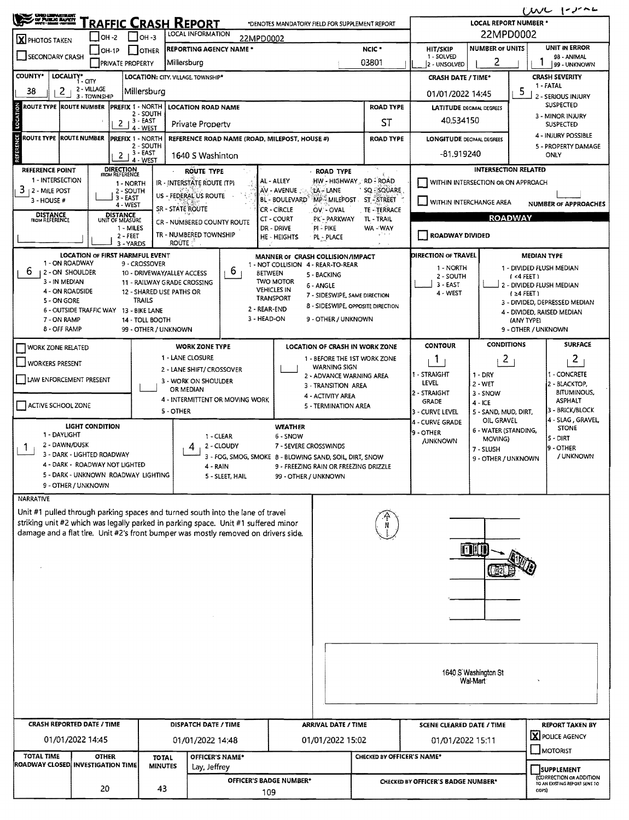| $U$ $V$ $V$ $V$ $V$<br><b>UND LIBRATISER</b><br>THE PUBLIC BAYER                                                                                                       |                                                              |                                           |                                                         |                                       |                                                                                                                                                                          |  |                                                      |                                                                                                                                   |                                                                                                      |       |                                        |                                                          |                                                            |                                            |                                      |  |  |  |
|------------------------------------------------------------------------------------------------------------------------------------------------------------------------|--------------------------------------------------------------|-------------------------------------------|---------------------------------------------------------|---------------------------------------|--------------------------------------------------------------------------------------------------------------------------------------------------------------------------|--|------------------------------------------------------|-----------------------------------------------------------------------------------------------------------------------------------|------------------------------------------------------------------------------------------------------|-------|----------------------------------------|----------------------------------------------------------|------------------------------------------------------------|--------------------------------------------|--------------------------------------|--|--|--|
| <u> Fraffic Crash Report</u><br>*DENOTES MANDATORY FIELD FOR SUPPLEMENT REPORT<br>LOCAL INFORMATION                                                                    |                                                              |                                           |                                                         |                                       |                                                                                                                                                                          |  |                                                      |                                                                                                                                   |                                                                                                      |       |                                        |                                                          |                                                            | <b>LOCAL REPORT NUMBER *</b><br>22MPD0002  |                                      |  |  |  |
| OH -2<br>$1$ 10H-3<br>22MPD0002<br>X PHOTOS TAKEN<br>NCIC <sup>*</sup><br><b>REPORTING AGENCY NAME *</b><br>I OTHER<br>$IOH-1P$                                        |                                                              |                                           |                                                         |                                       |                                                                                                                                                                          |  |                                                      |                                                                                                                                   |                                                                                                      |       |                                        |                                                          | <b>UNIT IN ERROR</b><br><b>NUMBER OF UNITS</b><br>HIT/SKIP |                                            |                                      |  |  |  |
| SECONDARY CRASH                                                                                                                                                        |                                                              | <b>PRIVATE PROPERTY</b>                   |                                                         | Millersburg                           |                                                                                                                                                                          |  |                                                      |                                                                                                                                   |                                                                                                      | 03801 |                                        | 1 - SOLVED<br>2 - UNSOLVED                               | 2                                                          |                                            | 98 - ANIMAL<br>99 - UNKNOWN          |  |  |  |
| <b>COUNTY*</b>                                                                                                                                                         | LOCALITY* CITY                                               |                                           |                                                         |                                       | LOCATION: CITY. VILLAGE. TOWNSHIP*                                                                                                                                       |  |                                                      |                                                                                                                                   |                                                                                                      |       |                                        | <b>CRASH DATE / TIME*</b>                                |                                                            |                                            | <b>CRASH SEVERITY</b>                |  |  |  |
| 38<br>2                                                                                                                                                                | 2 - VILLAGE<br>3 - TOWNSHIP                                  |                                           | Millersburg                                             |                                       |                                                                                                                                                                          |  |                                                      |                                                                                                                                   |                                                                                                      |       |                                        | 01/01/2022 14:45                                         |                                                            | 5                                          | 1 - FATAL<br>2 - SERIOUS INJURY      |  |  |  |
| <b>ROUTE TYPE ROUTE NUMBER</b>                                                                                                                                         |                                                              | <b>PREFIX 1 - NORTH</b>                   | 2 - SOUTH                                               |                                       | <b>LOCATION ROAD NAME</b>                                                                                                                                                |  |                                                      |                                                                                                                                   |                                                                                                      |       | <b>ROAD TYPE</b>                       | <b>LATITUDE</b> DECIMAL DEGREES                          |                                                            |                                            | <b>SUSPECTED</b>                     |  |  |  |
| LOCATION                                                                                                                                                               |                                                              | 2                                         | $, 3 - EAST$<br>4 - WEST                                |                                       | <b>Private Property</b>                                                                                                                                                  |  | ST                                                   |                                                                                                                                   |                                                                                                      |       |                                        | 40.534150                                                |                                                            |                                            | 3 - MINOR INJURY<br>SUSPECTED        |  |  |  |
| ROUTE TYPE  ROUTE NUMBER                                                                                                                                               |                                                              | <b>PREFIX 1 - NORTH</b>                   | 2 - SOUTH                                               |                                       | REFERENCE ROAD NAME (ROAD, MILEPOST, HOUSE #)<br><b>ROAD TYPE</b>                                                                                                        |  |                                                      |                                                                                                                                   |                                                                                                      |       |                                        | <b>LONGITUDE DEOMAL DEGREES</b>                          |                                                            | 4 - INJURY POSSIBLE<br>5 - PROPERTY DAMAGE |                                      |  |  |  |
| <b>REFERENCE</b>                                                                                                                                                       |                                                              | $\mathbf{2}$                              | 3 - EAST<br>4 - WEST                                    |                                       | 1640 S Washinton                                                                                                                                                         |  |                                                      |                                                                                                                                   |                                                                                                      |       |                                        | $-81.919240$                                             |                                                            | <b>ONLY</b>                                |                                      |  |  |  |
| REFERENCE POINT<br>1 - INTERSECTION                                                                                                                                    |                                                              | <b>DIRECTION</b><br><b>FROM REFERENCE</b> |                                                         | <b>ROUTE TYPE</b><br><b>ROAD TYPE</b> |                                                                                                                                                                          |  |                                                      |                                                                                                                                   |                                                                                                      |       |                                        |                                                          | <b>INTERSECTION RELATED</b>                                |                                            |                                      |  |  |  |
| 3<br>2 - Mile Post                                                                                                                                                     |                                                              | 1 - NORTH<br>2 - SOUTH                    |                                                         |                                       | IR - INTERSTATE ROUTE (TP)<br>US - FEDERAL US ROUTE                                                                                                                      |  | AL - ALLEY<br>AV - AVENUE                            |                                                                                                                                   | HW - HIGHWAY _ RD - ROAD<br>LA - LANE<br>SQ SQUARE<br>MP-MILEPOST ST-STREET<br>OV OVAL<br>TE TERRACE |       |                                        |                                                          | WITHIN INTERSECTION OR ON APPROACH                         |                                            |                                      |  |  |  |
| 3 - HOUSE #                                                                                                                                                            |                                                              | $3 - EAST$<br>4 - WEST                    |                                                         | <b>SR - STATE ROUTE</b>               |                                                                                                                                                                          |  | BL - BOULEVARD <sup>®</sup><br><b>CR - CIRCLE</b>    |                                                                                                                                   |                                                                                                      |       |                                        | U WITHIN INTERCHANGE AREA<br><b>NUMBER OF APPROACHES</b> |                                                            |                                            |                                      |  |  |  |
| <b>DISTANCE</b><br>FROM REFERENCE                                                                                                                                      |                                                              | DISTANCE<br>UNIT OF MEASURE<br>1 - MILES  |                                                         |                                       | CR - NUMBERED COUNTY ROUTE                                                                                                                                               |  | CT - COURT<br>DR - DRIVE                             | PI-PIKE                                                                                                                           | PK - PARKWAY                                                                                         |       | TL - TRAIL<br>WA - WAY                 |                                                          |                                                            | <b>ROADWAY</b>                             |                                      |  |  |  |
|                                                                                                                                                                        |                                                              | $2 - FEET$<br>3 - YARDS                   |                                                         | <b>ROUTE</b>                          | TR - NUMBERED TOWNSHIP                                                                                                                                                   |  | HE - HEIGHTS                                         | PL - PLACE                                                                                                                        |                                                                                                      |       |                                        | ROADWAY DIVIDED                                          |                                                            |                                            |                                      |  |  |  |
|                                                                                                                                                                        | LOCATION OF FIRST HARMFUL EVENT                              |                                           |                                                         |                                       |                                                                                                                                                                          |  | MANNER OF CRASH COLLISION/IMPACT                     |                                                                                                                                   |                                                                                                      |       |                                        | DIRECTION OF TRAVEL                                      |                                                            | <b>MEDIAN TYPE</b>                         |                                      |  |  |  |
| 1 - ON ROADWAY<br>6.<br>2 - ON SHOULDER                                                                                                                                |                                                              |                                           | 9 - CROSSOVER<br>10 - DRIVEWAY/ALLEY ACCESS             |                                       | b                                                                                                                                                                        |  | 1 - NOT COLLISION 4 - REAR-TO-REAR<br><b>BETWEEN</b> | 5 - BACKING                                                                                                                       |                                                                                                      |       |                                        | 1 - NORTH<br>2 - SOUTH                                   |                                                            | $(4$ FEET)                                 | 1 - DIVIDED FLUSH MEDIAN             |  |  |  |
| 3 - IN MEDIAN<br>4 - ON ROADSIDE                                                                                                                                       |                                                              |                                           | 11 - RAILWAY GRADE CROSSING<br>12 - SHARED USE PATHS OR |                                       |                                                                                                                                                                          |  | <b>TWO MOTOR</b><br><b>VEHICLES IN</b>               | 6 - ANGLE                                                                                                                         |                                                                                                      |       |                                        | $3 - EAST$                                               |                                                            | 2 - DIVIDED FLUSH MEDIAN                   |                                      |  |  |  |
| 5 - ON GORE                                                                                                                                                            |                                                              |                                           | <b>TRAILS</b>                                           |                                       |                                                                                                                                                                          |  | <b>TRANSPORT</b>                                     |                                                                                                                                   | 7 - SIDESWIPE, SAME DIRECTION                                                                        |       |                                        | 4 - WEST                                                 |                                                            | $(24$ FEET)                                | 3 - DIVIDED, DEPRESSED MEDIAN        |  |  |  |
| 8 - SIDESWIPE, OPPOSITE DIRECTION<br>2 - REAR-END<br>6 - OUTSIDE TRAFFIC WAY<br>13 - BIKE LANE<br>3 - HEAD-ON<br>9 - OTHER / UNKNOWN<br>7 - ON RAMP<br>14 - TOLL BOOTH |                                                              |                                           |                                                         |                                       |                                                                                                                                                                          |  |                                                      |                                                                                                                                   |                                                                                                      |       |                                        | 4 - DIVIDED, RAISED MEDIAN<br>(ANY TYPE)                 |                                                            |                                            |                                      |  |  |  |
| <b>B - OFF RAMP</b>                                                                                                                                                    |                                                              |                                           | 99 - OTHER / UNKNOWN                                    |                                       |                                                                                                                                                                          |  |                                                      |                                                                                                                                   |                                                                                                      |       |                                        |                                                          |                                                            | 9 - OTHER / UNKNOWN                        |                                      |  |  |  |
| <b>WORK ZONE RELATED</b>                                                                                                                                               |                                                              |                                           |                                                         |                                       | <b>WORK ZONE TYPE</b>                                                                                                                                                    |  |                                                      | <b>CONDITIONS</b><br><b>CONTOUR</b><br><b>LOCATION OF CRASH IN WORK ZONE</b>                                                      |                                                                                                      |       |                                        |                                                          | <b>SURFACE</b>                                             |                                            |                                      |  |  |  |
| <b>WORKERS PRESENT</b>                                                                                                                                                 |                                                              |                                           |                                                         |                                       | 1 - LANE CLOSURE<br>2 - LANE SHIFT/ CROSSOVER                                                                                                                            |  |                                                      | 1 - BEFORE THE 1ST WORK ZONE<br>$\mathbf{1}$<br>$\mathbf{2}$<br><b>WARNING SIGN</b>                                               |                                                                                                      |       |                                        |                                                          |                                                            |                                            | $\overline{c}$                       |  |  |  |
| LAW ENFORCEMENT PRESENT                                                                                                                                                |                                                              |                                           |                                                         | OR MEDIAN                             | 3 - WORK ON SHOULDER                                                                                                                                                     |  |                                                      | 1 - STRAIGHT<br>I - CONCRETE<br>1 - DRY<br>2 - ADVANCE WARNING AREA<br>LEVEL<br>$2 - WET$<br>2 - BLACKTOP,<br>3 - TRANSITION AREA |                                                                                                      |       |                                        |                                                          |                                                            |                                            |                                      |  |  |  |
|                                                                                                                                                                        |                                                              |                                           |                                                         |                                       | 4 - INTERMITTENT OR MOVING WORK                                                                                                                                          |  |                                                      |                                                                                                                                   | 4 - ACTIVITY AREA                                                                                    |       |                                        | 2 - STRAIGHT<br><b>GRADE</b>                             | 3 - SNOW<br>4 - ICE                                        |                                            | <b>BITUMINOUS,</b><br><b>ASPHALT</b> |  |  |  |
| ACTIVE SCHOOL ZONE                                                                                                                                                     |                                                              |                                           |                                                         | 5 - OTHER                             |                                                                                                                                                                          |  |                                                      | 5 - TERMINATION AREA<br>3 - CURVE LEVEL<br>5 - SAND, MUD, DIRT,<br>OIL GRAVEL<br>4 - CURVE GRADE                                  |                                                                                                      |       |                                        |                                                          |                                                            | 3 - BRICK/BLOCK<br>4 - SLAG, GRAVEL        |                                      |  |  |  |
| 1 - DAYLIGHT                                                                                                                                                           | <b>LIGHT CONDITION</b>                                       |                                           |                                                         |                                       | 1 - CLEAR                                                                                                                                                                |  | <b>WEATHER</b><br>6 - SNOW                           | 6 - WATER (STANDING,<br>9 - OTHER<br>$5 - DIRT$<br>MOVING)                                                                        |                                                                                                      |       |                                        |                                                          |                                                            |                                            | <b>STONE</b>                         |  |  |  |
| 2 - DAWN/DUSK<br>1                                                                                                                                                     |                                                              |                                           |                                                         |                                       | 2 - CLOUDY<br>4                                                                                                                                                          |  |                                                      | <b>/UNKNOWN</b><br>7 - SEVERE CROSSWINDS<br>7 - SLUSH                                                                             |                                                                                                      |       |                                        |                                                          |                                                            | 9 - OTHER                                  |                                      |  |  |  |
|                                                                                                                                                                        | 3 - DARK - LIGHTED ROADWAY<br>4 - DARK - ROADWAY NOT LIGHTED |                                           |                                                         |                                       | 3 - FOG, SMOG, SMOKE 8 - BLOWING SAND, SOIL, DIRT, SNOW                                                                                                                  |  | 9 - FREEZING RAIN OR FREEZING DRIZZLE                |                                                                                                                                   |                                                                                                      |       |                                        |                                                          | 9 - OTHER / UNKNOWN                                        |                                            | / UNKNOWN                            |  |  |  |
|                                                                                                                                                                        | 5 - DARK - UNKNOWN ROADWAY LIGHTING<br>9 - OTHER / UNKNOWN   |                                           |                                                         |                                       | 5 - SLEET, HAIL                                                                                                                                                          |  | 99 - OTHER / UNKNOWN                                 |                                                                                                                                   |                                                                                                      |       |                                        |                                                          |                                                            |                                            |                                      |  |  |  |
| <b>NARRATIVE</b>                                                                                                                                                       |                                                              |                                           |                                                         |                                       |                                                                                                                                                                          |  |                                                      |                                                                                                                                   |                                                                                                      |       |                                        |                                                          |                                                            |                                            |                                      |  |  |  |
|                                                                                                                                                                        |                                                              |                                           |                                                         |                                       | Unit #1 pulled through parking spaces and turned south into the lane of travel                                                                                           |  |                                                      |                                                                                                                                   |                                                                                                      |       |                                        |                                                          |                                                            |                                            |                                      |  |  |  |
|                                                                                                                                                                        |                                                              |                                           |                                                         |                                       | striking unit #2 which was legally parked in parking space. Unit #1 suffered minor<br>damage and a flat tire. Unit #2's front bumper was mostly removed on drivers side. |  |                                                      |                                                                                                                                   |                                                                                                      |       |                                        |                                                          |                                                            |                                            |                                      |  |  |  |
|                                                                                                                                                                        |                                                              |                                           |                                                         |                                       |                                                                                                                                                                          |  |                                                      |                                                                                                                                   |                                                                                                      |       |                                        |                                                          | $\left[1\right]$                                           |                                            |                                      |  |  |  |
|                                                                                                                                                                        |                                                              |                                           |                                                         |                                       |                                                                                                                                                                          |  |                                                      |                                                                                                                                   |                                                                                                      |       |                                        |                                                          |                                                            |                                            |                                      |  |  |  |
|                                                                                                                                                                        |                                                              |                                           |                                                         |                                       |                                                                                                                                                                          |  |                                                      |                                                                                                                                   |                                                                                                      |       |                                        |                                                          |                                                            |                                            |                                      |  |  |  |
|                                                                                                                                                                        |                                                              |                                           |                                                         |                                       |                                                                                                                                                                          |  |                                                      |                                                                                                                                   |                                                                                                      |       |                                        |                                                          |                                                            |                                            |                                      |  |  |  |
|                                                                                                                                                                        |                                                              |                                           |                                                         |                                       |                                                                                                                                                                          |  |                                                      |                                                                                                                                   |                                                                                                      |       |                                        |                                                          |                                                            |                                            |                                      |  |  |  |
|                                                                                                                                                                        |                                                              |                                           |                                                         |                                       |                                                                                                                                                                          |  |                                                      |                                                                                                                                   |                                                                                                      |       |                                        |                                                          |                                                            |                                            |                                      |  |  |  |
|                                                                                                                                                                        |                                                              |                                           |                                                         |                                       |                                                                                                                                                                          |  |                                                      |                                                                                                                                   |                                                                                                      |       |                                        |                                                          |                                                            |                                            |                                      |  |  |  |
|                                                                                                                                                                        |                                                              |                                           |                                                         |                                       |                                                                                                                                                                          |  |                                                      |                                                                                                                                   |                                                                                                      |       |                                        |                                                          |                                                            |                                            |                                      |  |  |  |
|                                                                                                                                                                        |                                                              |                                           |                                                         |                                       |                                                                                                                                                                          |  |                                                      | 1640 S Washington St<br>Wal-Mart                                                                                                  |                                                                                                      |       |                                        |                                                          |                                                            |                                            |                                      |  |  |  |
|                                                                                                                                                                        |                                                              |                                           |                                                         |                                       |                                                                                                                                                                          |  |                                                      |                                                                                                                                   |                                                                                                      |       |                                        |                                                          |                                                            |                                            |                                      |  |  |  |
|                                                                                                                                                                        |                                                              |                                           |                                                         |                                       |                                                                                                                                                                          |  |                                                      |                                                                                                                                   |                                                                                                      |       |                                        |                                                          |                                                            |                                            |                                      |  |  |  |
| <b>CRASH REPORTED DATE / TIME</b>                                                                                                                                      |                                                              |                                           |                                                         |                                       | DISPATCH DATE / TIME                                                                                                                                                     |  |                                                      |                                                                                                                                   | <b>ARRIVAL DATE / TIME</b>                                                                           |       |                                        | <b>SCENE CLEARED DATE / TIME</b>                         |                                                            |                                            | <b>REPORT TAKEN BY</b>               |  |  |  |
|                                                                                                                                                                        | 01/01/2022 14:45                                             |                                           |                                                         |                                       | 01/01/2022 14:48                                                                                                                                                         |  |                                                      |                                                                                                                                   | 01/01/2022 15:02                                                                                     |       | X POLICE AGENCY<br>01/01/2022 15:11    |                                                          |                                                            |                                            |                                      |  |  |  |
| <b>TOTAL TIME</b><br>ROADWAY CLOSED INVESTIGATION TIME                                                                                                                 | <b>OTHER</b>                                                 |                                           | <b>TOTAL</b><br><b>MINUTES</b>                          |                                       | OFFICER'S NAME*                                                                                                                                                          |  |                                                      |                                                                                                                                   |                                                                                                      |       | MOTORIST<br>CHECKED BY OFFICER'S NAME* |                                                          |                                                            |                                            |                                      |  |  |  |
|                                                                                                                                                                        |                                                              |                                           |                                                         |                                       | Lay, Jeffrey                                                                                                                                                             |  |                                                      |                                                                                                                                   |                                                                                                      |       |                                        | <b>CHECKED BY OFFICER'S BADGE NUMBER*</b>                |                                                            |                                            | SUPPLEMENT<br>CORRECTION OR ADDITION |  |  |  |
|                                                                                                                                                                        | OFFICER'S BADGE NUMBER*<br>20<br>43<br>109                   |                                           |                                                         |                                       |                                                                                                                                                                          |  |                                                      |                                                                                                                                   | ODPS)                                                                                                |       |                                        |                                                          |                                                            |                                            | TO AN EXISTING REPORT SENT TO        |  |  |  |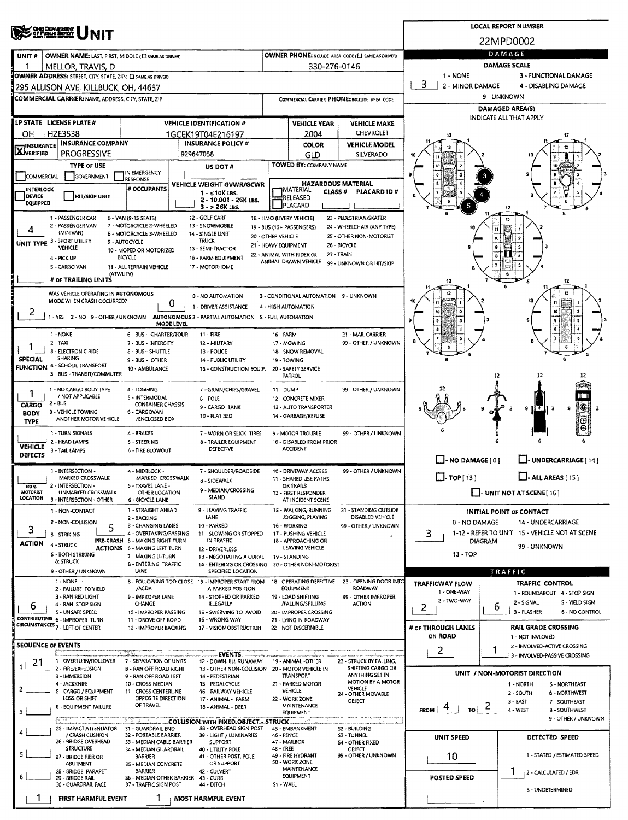|                            | <b>OHO DEMARRIDAT</b><br><b>OF PUBLIQ BUTEY</b>                                          |                                                                        | <b>LOCAL REPORT NUMBER</b> |                                                                               |                                                                     |                                                         |                                                      |                                                          |                |                                                         |  |  |  |  |
|----------------------------|------------------------------------------------------------------------------------------|------------------------------------------------------------------------|----------------------------|-------------------------------------------------------------------------------|---------------------------------------------------------------------|---------------------------------------------------------|------------------------------------------------------|----------------------------------------------------------|----------------|---------------------------------------------------------|--|--|--|--|
|                            | <b>NIT</b>                                                                               |                                                                        |                            |                                                                               |                                                                     |                                                         |                                                      | 22MPD0002                                                |                |                                                         |  |  |  |  |
| UNIT#                      | OWNER NAME: LAST, FIRST, MIDDLE (CI SAME AS DRIVER)                                      |                                                                        |                            |                                                                               |                                                                     |                                                         | OWNER PHONE:INCLUDE AREA CODE (E) SAME AS DRIVERY    | DAMAGE                                                   |                |                                                         |  |  |  |  |
|                            | MELLOR, TRAVIS, D<br>OWNER ADDRESS: STREET, CITY, STATE, ZIP ( E SAME AS DRIVER)         |                                                                        |                            |                                                                               |                                                                     | 330-276-0146                                            |                                                      | <b>DAMAGE SCALE</b><br>1 - NONE<br>3 - FUNCTIONAL DAMAGE |                |                                                         |  |  |  |  |
|                            | 295 ALLISON AVE, KILLBUCK, OH, 44637                                                     |                                                                        |                            |                                                                               |                                                                     |                                                         |                                                      | 3<br>2 - MINOR DAMAGE<br>4 - DISABLING DAMAGE            |                |                                                         |  |  |  |  |
|                            | <b>COMMERCIAL CARRIER: NAME, ADDRESS, CITY, STATE, ZIP</b>                               |                                                                        |                            |                                                                               |                                                                     |                                                         | COMMERCIAL CARRIER PHONE: INCLUDE AREA CODE          | 9 - UNKNOWN                                              |                |                                                         |  |  |  |  |
|                            |                                                                                          |                                                                        |                            |                                                                               |                                                                     |                                                         |                                                      | <b>DAMAGED AREA(S)</b><br>INDICATE ALL THAT APPLY        |                |                                                         |  |  |  |  |
|                            | LP STATE   LICENSE PLATE #                                                               |                                                                        |                            | <b>VEHICLE IDENTIFICATION #</b>                                               |                                                                     | <b>VEHICLE YEAR</b>                                     | <b>VEHICLE MAKE</b>                                  |                                                          |                |                                                         |  |  |  |  |
| OН<br><b>INSURANCE</b>     | HZE3538<br><b>INSURANCE COMPANY</b>                                                      |                                                                        |                            | 1GCEK19T04E216197<br><b>INSURANCE POLICY #</b>                                |                                                                     | 2004<br><b>COLOR</b>                                    | <b>CHEVROLET</b><br><b>VEHICLE MODEL</b>             |                                                          |                |                                                         |  |  |  |  |
| <b>X</b> IVERIFIED         | <b>PROGRESSIVE</b>                                                                       |                                                                        | 929647058                  |                                                                               |                                                                     | GLD                                                     | SILVERADO                                            |                                                          |                |                                                         |  |  |  |  |
|                            | <b>TYPE OF USE</b>                                                                       | IN EMERGENCY                                                           |                            | US DOT #                                                                      |                                                                     | <b>TOWED BY: COMPANY NAME</b>                           |                                                      |                                                          |                |                                                         |  |  |  |  |
| <b>COMMERCIAL</b>          | GOVERNMENT                                                                               | <b>RESPONSE</b>                                                        |                            | <b>VEHICLE WEIGHT GVWR/GCWR</b>                                               |                                                                     |                                                         | <b>HAZARDOUS MATERIAL</b>                            |                                                          |                |                                                         |  |  |  |  |
| <b>INTERLOCK</b><br>DEVICE | <b>HIT/SKIP UNIT</b>                                                                     | # OCCUPANTS                                                            |                            | $1 - 510K$ LBS.<br>2 - 10.001 - 26K LBS.                                      | MATERIAL<br><b>CLASS #</b><br><b>PLACARD ID#</b><br><b>RELEASED</b> |                                                         |                                                      |                                                          |                |                                                         |  |  |  |  |
| <b>EQUIPPED</b>            |                                                                                          |                                                                        |                            | $3 - 26K$ LBS.                                                                |                                                                     | PLACARD                                                 |                                                      |                                                          |                |                                                         |  |  |  |  |
|                            | 1 - PASSENGER CAR<br>2 - PASSENGER VAN                                                   | 6 - VAN (9-15 SEATS)<br>7 - MOTORCYCLE 2-WHEELED                       |                            | 12 - GOLF CART<br>13 - SNOWMOBILE                                             |                                                                     | 18 - LIMO (LIVERY VEHICLE)<br>19 - BUS (16+ PASSENGERS) | 23 - PEDESTRIAN/SKATER<br>24 - WHEELCHAIR (ANY TYPE) | 10                                                       |                |                                                         |  |  |  |  |
| 4                          | (MINIVAN)<br>UNIT TYPE 3 - SPORT UTILITY                                                 | 8 - MOTORCYCLE 3-WHEELED<br>9 - AUTOCYCLE                              |                            | 14 - SINGLE UNIT<br><b>TRUCK</b>                                              | 20 - OTHER VEHICLE                                                  |                                                         | 25 - OTHER NON-MOTORIST                              |                                                          |                |                                                         |  |  |  |  |
|                            | VEHICLE                                                                                  | 10 - MOPED OR MOTORIZED                                                |                            | 15 - SEMI-TRACTOR                                                             | 21 - HEAVY EQUIPMENT                                                | 22 - ANIMAL WITH RIDER OR                               | 26 - BICYCLE<br>27 - TRAIN                           |                                                          |                |                                                         |  |  |  |  |
|                            | 4 - PICK UP<br>S - CARGO VAN                                                             | <b>BICYCLE</b><br>11 - ALL TERRAIN VEHICLE                             |                            | 16 - FARM EQUIPMENT<br>17 - MOTORHOME                                         |                                                                     | ANIMAL-DRAWN VEHICLE                                    | 99 - UNKNOWN OR HIT/SKIP                             |                                                          |                |                                                         |  |  |  |  |
|                            | (ATV/UTV)<br># OF TRAILING UNITS                                                         |                                                                        |                            |                                                                               |                                                                     |                                                         |                                                      | 12                                                       |                | 12                                                      |  |  |  |  |
|                            | WAS VEHICLE OPERATING IN AUTONOMOUS                                                      |                                                                        |                            | 0 - NO AUTOMATION                                                             |                                                                     | 3 - CONDITIONAL AUTOMATION 9 - UNKNOWN                  |                                                      |                                                          |                |                                                         |  |  |  |  |
|                            | MODE WHEN CRASH OCCURRED?                                                                |                                                                        | O                          | 1 - DRIVER ASSISTANCE                                                         |                                                                     | 4 - HIGH AUTOMATION                                     |                                                      |                                                          |                | 10                                                      |  |  |  |  |
|                            | 1 - YES 2 - NO 9 - OTHER / UNKNOWN AUTONOMOUS 2 - PARTIAL AUTOMATION 5 - FULL AUTOMATION |                                                                        | MODE LEVEL                 |                                                                               |                                                                     |                                                         |                                                      |                                                          |                | я                                                       |  |  |  |  |
|                            | 1 - NONE                                                                                 | 6 - BUS - CHARTER/TOUR                                                 |                            | 11 - FIRE                                                                     | <b>16 - FARM</b>                                                    |                                                         | 21 - MAIL CARRIER                                    |                                                          |                |                                                         |  |  |  |  |
|                            | $2 - TAXI$<br>3 - ELECTRONIC RIDE                                                        | 7 - BUS - INTERCITY<br>8 - BUS - SHUTTLE                               |                            | 12 - MILITARY<br>13 - POLICE                                                  |                                                                     | 17 - MOWING<br>18 - SNOW REMOVAL                        | 99 - OTHER / UNKNOWN                                 |                                                          |                |                                                         |  |  |  |  |
| <b>SPECIAL</b>             | SHARING<br><b>FUNCTION 4 - SCHOOL TRANSPORT</b>                                          | 9 - BUS - OTHER                                                        |                            | 14 - PUBLIC UTILITY                                                           |                                                                     | 19 - TOWING                                             |                                                      |                                                          |                |                                                         |  |  |  |  |
|                            | 5 - BUS - TRANSIT/COMMUTER                                                               | 10 - AMBULANCE                                                         |                            | 15 - CONSTRUCTION EQUIP.                                                      |                                                                     | 20 - SAFETY SERVICE<br>PATROL                           |                                                      |                                                          | 12             | 12<br>12                                                |  |  |  |  |
| 1                          | 1 - NO CARGO BODY TYPE<br>/ NOT APPLICABLE                                               | 4 - LOGGING                                                            |                            | 7 - GRAIN/CHIPS/GRAVEL                                                        | <b>11 - DUMP</b>                                                    |                                                         | 99 - OTHER / UNKNOWN                                 |                                                          |                | 11 H                                                    |  |  |  |  |
| CARGO                      | $2 - BUS$                                                                                | S - INTERMODAL<br><b>CONTAINER CHASSIS</b>                             |                            | <b>B-POLE</b><br>9 - CARGO TANK                                               |                                                                     | 12 - CONCRETE MIXER<br>13 - AUTO TRANSPORTER            |                                                      |                                                          |                | ۰<br>1 T<br>9<br>9<br>в                                 |  |  |  |  |
| <b>BODY</b><br><b>TYPE</b> | 3 - VEHICLE TOWING<br>ANOTHER MOTOR VEHICLE                                              | 6 - CARGOVAN<br>/ENCLOSED BOX                                          |                            | 10 - FLAT BED                                                                 |                                                                     | 14 - GARBAGE/REFUSE                                     |                                                      |                                                          |                | İΘ                                                      |  |  |  |  |
|                            | 1 - TURN SIGNALS                                                                         | 4 - BRAKES                                                             |                            | 7 - WORN OR SLICK TIRES                                                       |                                                                     | 9 - MOTOR TROUBLE                                       | 99 - OTHER / UNKNOWN                                 |                                                          |                | ⊕                                                       |  |  |  |  |
| <b>VEHICLE</b>             | 2 - HEAD LAMPS<br>3 - TAIL LAMPS                                                         | S - STEERING<br>6 - TIRE BLOWOUT                                       |                            | 8 - TRAILER EQUIPMENT<br><b>DEFECTIVE</b>                                     |                                                                     | 10 - DISABLED FROM PRIOR<br><b>ACCIDENT</b>             |                                                      |                                                          |                |                                                         |  |  |  |  |
| <b>DEFECTS</b>             |                                                                                          |                                                                        |                            |                                                                               |                                                                     |                                                         |                                                      | L. NO DAMAGE [0]                                         |                | L.J. UNDERCARRIAGE [ 14 ]                               |  |  |  |  |
|                            | 1 - INTERSECTION -<br>MARKED CROSSWALK                                                   | 4 - MIDBLOCK -<br>MARKED CROSSWALK                                     |                            | 7 - SHOULDER/ROADSIDE<br>8 - SIDEWALK                                         |                                                                     | 10 - DRIVEWAY ACCESS<br>11 - SHARED USE PATHS           | 99 - OTHER / UNKNOWN                                 | $\Box$ - TOP [ 13 ]                                      |                | $\Box$ - ALL AREAS [ 15 ]                               |  |  |  |  |
| NON-<br>MOTORIST           | 2 - INTERSECTION -<br>UNMARKED CROSSWALK                                                 | 5 - TRAVEL LANE -<br>OTHER LOCATION                                    |                            | 9 - MEDIAN/CROSSING                                                           |                                                                     | OR TRAILS<br>12 - FIRST RESPONDER                       |                                                      | - UNIT NOT AT SCENE[16]                                  |                |                                                         |  |  |  |  |
| <b>LOCATION</b>            | 3 - INTERSECTION - OTHER                                                                 | 6 - SICYCLE LANE<br>1 - STRAIGHT AHEAD                                 |                            | <b>ISLAND</b><br>9 - LEAVING TRAFFIC                                          |                                                                     | AT INCIDENT SCENE<br>15 - WALKING, RUNNING,             | 21 - STANDING OUTSIDE                                |                                                          |                |                                                         |  |  |  |  |
|                            | 1 - NON-CONTACT<br>2 - NON-COLLISION                                                     | 2 - BACKING                                                            |                            | LANE                                                                          |                                                                     | JOGGING, PLAYING                                        | DISABLED VEHICLE                                     | 0 - NO DAMAGE                                            |                | <b>INITIAL POINT OF CONTACT</b><br>14 - UNDERCARRIAGE   |  |  |  |  |
| з                          | 5<br>3 - STRIKING                                                                        | 3 - CHANGING LANES<br>4 - OVERTAKING/PASSING                           |                            | 10 - PARKED<br>11 - SLOWING OR STOPPED                                        |                                                                     | 16 - WORKING<br>17 - PUSHING VEHICLE                    | 99 - OTHER / UNKNOWN                                 | 3.                                                       |                | 1-12 - REFER TO UNIT 15 - VEHICLE NOT AT SCENE          |  |  |  |  |
| <b>ACTION</b>              | 4 - STRUCK                                                                               | PRE-CRASH 5 - MAKING RIGHT TURN<br><b>ACTIONS 6 - MAKING LEFT TURN</b> |                            | IN TRAFFIC<br>12 - DRIVERLESS                                                 |                                                                     | 18 - APPROACHING OR<br>LEAVING VEHICLE                  |                                                      |                                                          | <b>DIAGRAM</b> | 99 - UNKNOWN                                            |  |  |  |  |
|                            | S - BOTH STRIKING<br>& STRUCK                                                            | 7 - MAKING U-TURN<br><b>8 - ENTERING TRAFFIC</b>                       |                            | 13 - NEGOTIATING A CURVE<br>14 - ENTERING OR CROSSING 20 - OTHER NON-MOTORIST |                                                                     | 19 - STANDING                                           |                                                      | 13 - TOP                                                 |                |                                                         |  |  |  |  |
|                            | 9 - OTHER / UNKNOWN                                                                      | LANE                                                                   |                            | SPECIFIED LOCATION                                                            |                                                                     |                                                         |                                                      |                                                          |                | TRAFFIC                                                 |  |  |  |  |
|                            | 1 - NONE<br>2 - FAILURE TO YIELD                                                         | /ACDA                                                                  |                            | 8 - FOLLOWING TOO CLOSE 13 - IMPROPER START FROM<br>A PARKED POSITION         |                                                                     | 18 - OPERATING DEFECTIVE<br><b>EQUIPMENT</b>            | 23 - OPENING DOOR INTO<br>ROADWAY                    | <b>TRAFFICWAY FLOW</b><br>1 - ONE-WAY                    |                | <b>TRAFFIC CONTROL</b><br>1 - ROUNDABOUT 4 - STOP SIGN  |  |  |  |  |
| 6                          | 3 - RAN RED LIGHT<br>4 - RAN STOP SIGN                                                   | 9 - IMPROPER LANE<br>CHANGE                                            |                            | 14 - STOPPED OR PARKED<br>ILLEGALLY                                           |                                                                     | 19 - LOAD SHIFTING<br>/FALLING/SPILLING                 | 99 - OTHER IMPROPER<br><b>ACTION</b>                 | 2 - TWO-WAY<br>2                                         | 6              | S - YIELD SIGN<br>2 - SIGNAL                            |  |  |  |  |
|                            | 5 - UNSAFE SPEED<br>CONTRIBUTING 6 - IMPROPER TURN                                       | 10 - IMPROPER PASSING<br>11 - DROVE OFF ROAD                           |                            | 1S - SWERVING TO AVOID<br>16 - WRONG WAY                                      |                                                                     | 20 - IMPROPER CROSSING<br>21 - LYING IN ROADWAY         |                                                      |                                                          |                | 3 - FLASHER<br>6 - NO CONTROL                           |  |  |  |  |
|                            | CIRCUMSTANCES <sub>7</sub> - LEFT OF CENTER                                              | 12 - IMPROPER BACKING                                                  |                            | 17 - VISION OBSTRUCTION                                                       |                                                                     | 22 - NOT DISCERNIBLE                                    |                                                      | # or THROUGH LANES<br>ON ROAD                            |                | <b>RAIL GRADE CROSSING</b>                              |  |  |  |  |
|                            | SEQUENCE OF EVENTS                                                                       |                                                                        |                            |                                                                               |                                                                     |                                                         |                                                      |                                                          |                | 1 - NOT INVLOVED<br>2 - INVOLVED-ACTIVE CROSSING        |  |  |  |  |
| 21                         | 1 - OVERTURN/ROLLOVER                                                                    | 7 - SEPARATION OF UNITS                                                |                            | --- EVENTS -<br>12 - DOWNHILL RUNAWAY                                         |                                                                     | 19 - ANIMAL -OTHER                                      | 23 - STRUCK BY FALLING,                              | 2                                                        |                | 3 - INVOLVED-PASSIVE CROSSING                           |  |  |  |  |
|                            | 2 - FIRE/EXPLOSION<br>3 - IMMERSION                                                      | <b>B - RAN OFF ROAD RIGHT</b><br>9 - RAN OFF ROAD LEFT                 |                            | 13 - OTHER NON-COLLISION 20 - MOTOR VEHICLE IN<br>14 - PEDESTRIAN             |                                                                     | TRANSPORT                                               | SHIFTING CARGO OR<br>ANYTHING SET IN                 |                                                          |                | UNIT / NON-MOTORIST DIRECTION                           |  |  |  |  |
| $\overline{2}$             | 4 - JACKKNIFE<br>S - CARGO / EQUIPMENT                                                   | 10 - CROSS MEDIAN<br>11 - CROSS CENTERLINE -                           |                            | 15 - PEDALCYCLE<br>16 - RAILWAY VEHICLE                                       |                                                                     | 21 - PARKED MOTOR<br><b>VEHICLE</b>                     | MOTION BY A MOTOR<br><b>VEHICLE</b>                  |                                                          |                | 1 - NORTH<br>S - NORTHEAST                              |  |  |  |  |
|                            | LOSS OR SHIFT                                                                            | <b>OPPOSITE DIRECTION</b><br>OF TRAVEL                                 |                            | 17 - ANIMAL - FARM                                                            |                                                                     | 22 - WORK ZONE<br><b>MAINTENANCE</b>                    | 24 - OTHER MOVABLE<br>OBJECT                         |                                                          |                | 2 - SOUTH<br>6 - NORTHWEST<br>3 - EAST<br>7 - SOUTHEAST |  |  |  |  |
| 3                          | <b>6 - EQUIPMENT FAILURE</b>                                                             |                                                                        |                            | 18 - ANIMAL - DEER                                                            |                                                                     | EQUIPMENT                                               |                                                      | - 4<br>FROM<br>TO∣                                       | -2             | 4 - WEST<br><b>B-SOUTHWEST</b><br>9 - OTHER / UNKNOWN   |  |  |  |  |
| 4                          | 25 - IMPACT ATTENUATOR                                                                   | الكسيفيك<br>31 - GUARDRAIL END                                         |                            | ____COLLISION.WITH FIXED.OBJECT. - STRUCK<br>38 - OVERHEAD SIGN POST          |                                                                     | 45 - EMBANKMENT                                         | S2 - BUILDING                                        |                                                          |                |                                                         |  |  |  |  |
|                            | / CRASH CUSHION<br>26 - BRIDGE OVERHEAD                                                  | 32 - PORTABLE BARRIER<br>33 - MEDIAN CABLE BARRIER                     |                            | 39 - LIGHT / LUMINARIES<br>SUPPORT                                            | 46 - FENCE                                                          | 47 - MAILBOX                                            | S3 - TUNNEL<br>54 - OTHER FIXED                      | UNIT SPEED                                               |                | DETECTED SPEED                                          |  |  |  |  |
| 5                          | <b>STRUCTURE</b><br>27 - BRIDGE PIER OR                                                  | 34 - MEDIAN GUARDRAIL<br>BARRIER                                       |                            | 40 - UTILITY POLE<br>41 - OTHER POST, POLE                                    | 48 - TREE                                                           | 49 - FIRE HYDRANT                                       | OBJECT<br>99 - OTHER / UNKNOWN                       | 10                                                       |                | 1 - STATED / ESTIMATED SPEED                            |  |  |  |  |
|                            | ABUTMENT<br>28 - 8RIDGE PARAPET                                                          | 35 - MEDIAN CONCRETE<br><b>BARRIER</b>                                 |                            | OR SUPPORT<br>42 - CULVERT                                                    |                                                                     | 50 - WORK ZONE<br>MAINTENANCE                           |                                                      |                                                          |                | 1<br>12 - CALCULATED / EDR                              |  |  |  |  |
|                            | 29 - BRIDGE RAIL<br>30 - GUARDRAIL FACE                                                  | 36 - MEDIAN OTHER BARRIER 43 - CURB<br>37 - TRAFFIC SIGN POST          |                            | 44 - DITCH                                                                    | S1 - WALL                                                           | <b>EQUIPMENT</b>                                        |                                                      | <b>POSTED SPEED</b>                                      |                | 3 - UNDETERMINED                                        |  |  |  |  |
|                            | <b>FIRST HARMFUL EVENT</b>                                                               |                                                                        |                            | <b>MOST HARMFUL EVENT</b>                                                     |                                                                     |                                                         |                                                      |                                                          |                |                                                         |  |  |  |  |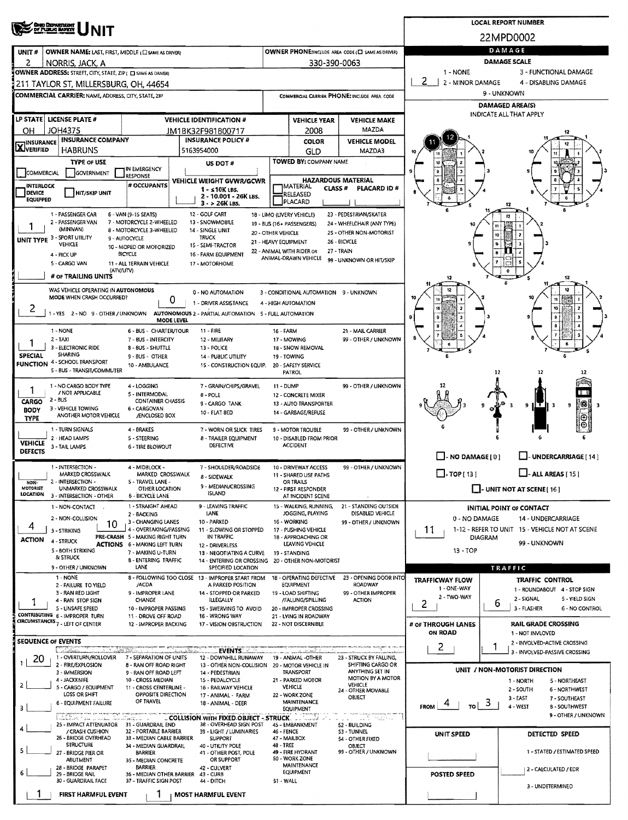|                                                                                                                             | <b>CHE DEPARTMENT</b><br>DF PLINJG MARKY                                                              |                                                               | <b>LOCAL REPORT NUMBER</b> |                                                                                |                      |                                                                     |                                                       |                                                                                        |                      |                                                               |  |  |  |  |
|-----------------------------------------------------------------------------------------------------------------------------|-------------------------------------------------------------------------------------------------------|---------------------------------------------------------------|----------------------------|--------------------------------------------------------------------------------|----------------------|---------------------------------------------------------------------|-------------------------------------------------------|----------------------------------------------------------------------------------------|----------------------|---------------------------------------------------------------|--|--|--|--|
|                                                                                                                             |                                                                                                       |                                                               |                            |                                                                                |                      |                                                                     |                                                       |                                                                                        |                      | 22MPD0002                                                     |  |  |  |  |
| UNIT#                                                                                                                       | OWNER NAME: LAST, FIRST, MIDDLE (EL SAME AS DRIVER)                                                   |                                                               |                            |                                                                                |                      |                                                                     | OWNER PHONE:INCLUDE AREA CODE (E) SAME AS DRIVER)     | DAMAGE                                                                                 |                      |                                                               |  |  |  |  |
| 2                                                                                                                           | NORRIS, JACK, A                                                                                       |                                                               |                            |                                                                                |                      | 330-390-0063                                                        |                                                       | <b>DAMAGE SCALE</b><br>1 - NONE<br>3 - FUNCTIONAL DAMAGE                               |                      |                                                               |  |  |  |  |
|                                                                                                                             | OWNER ADDRESS: STREET, CITY, STATE, ZIP ( C) SAME AS DRIVERY<br>211 TAYLOR ST, MILLERSBURG, OH, 44654 |                                                               |                            |                                                                                |                      |                                                                     |                                                       | 2<br>2 - MINOR DAMAGE                                                                  |                      | 4 - DISABLING DAMAGE                                          |  |  |  |  |
|                                                                                                                             | COMMERCIAL CARRIER: NAME, ADDRESS, CITY, STATE, ZIP                                                   |                                                               |                            |                                                                                |                      |                                                                     | COMMERCIAL CARRIER PHONE: INCLUDE AREA CODE           | 9 - UNKNOWN                                                                            |                      |                                                               |  |  |  |  |
|                                                                                                                             |                                                                                                       |                                                               |                            |                                                                                |                      |                                                                     |                                                       | <b>DAMAGED AREA(S)</b>                                                                 |                      |                                                               |  |  |  |  |
|                                                                                                                             | LP STATE   LICENSE PLATE #                                                                            |                                                               |                            | <b>VEHICLE IDENTIFICATION #</b>                                                |                      | <b>VEHICLE YEAR</b>                                                 | <b>VEHICLE MAKE</b>                                   | INDICATE ALL THAT APPLY                                                                |                      |                                                               |  |  |  |  |
| OН                                                                                                                          | <b>JOH4375</b>                                                                                        |                                                               |                            | JM1BK32F981800717                                                              |                      | 2008                                                                | MAZDA                                                 |                                                                                        |                      |                                                               |  |  |  |  |
| <b>X</b> INSURANCE                                                                                                          | <b>INSURANCE COMPANY</b><br><b>HABRUNS</b>                                                            |                                                               |                            | <b>INSURANCE POLICY #</b><br>5163954000                                        |                      | <b>COLOR</b><br>GLD                                                 | <b>VEHICLE MODEL</b><br>MAZDA3                        |                                                                                        |                      |                                                               |  |  |  |  |
|                                                                                                                             | <b>TYPE OF USE</b>                                                                                    |                                                               |                            | US DOT #                                                                       |                      | TOWED BY: COMPANY NAME                                              |                                                       |                                                                                        |                      |                                                               |  |  |  |  |
| COMMERCIAL                                                                                                                  | <b>GOVERNMENT</b>                                                                                     | IN EMERGENCY<br><b>LESPONSE</b>                               |                            |                                                                                |                      |                                                                     |                                                       |                                                                                        |                      |                                                               |  |  |  |  |
| <b>INTERLOCK</b><br><b>DEVICE</b>                                                                                           | HIT/SKIP UNIT                                                                                         | # OCCUPANTS                                                   |                            | VEHICLE WEIGHT GVWR/GCWR<br>$1 -$ s 10K LBS.                                   |                      | <b>HAZARDOUS MATERIAL</b><br><b>IMATERIAL</b><br>CLASS <sup>#</sup> | <b>PLACARD ID#</b>                                    |                                                                                        |                      |                                                               |  |  |  |  |
| <b>EQUIPPED</b>                                                                                                             |                                                                                                       |                                                               |                            | 2 - 10.001 - 26K LBS.<br>$3 - 26K$ LBS.                                        |                      | RELEASED<br>PLACARD                                                 |                                                       |                                                                                        |                      | 12                                                            |  |  |  |  |
|                                                                                                                             | 1 - PASSENGER CAR                                                                                     | 6 - VAN (9-15 SEATS)                                          |                            | 12 - GOLF CART                                                                 |                      | 18 - LIMO (LIVERY VEHICLE)                                          | 23 - PEDESTRIAN/SKATER                                |                                                                                        |                      | 12                                                            |  |  |  |  |
|                                                                                                                             | 2 - PASSENGER VAN<br>(MINIVAN)                                                                        | 7 - MOTORCYCLE 2-WHEELED<br>8 - MOTORCYCLE 3-WHEELED          |                            | 13 - SNOWMO8ILE<br>14 - SINGLE UNIT                                            | 20 - OTHER VEHICLE   | 19 - BUS (16+ PASSENGERS)                                           | 24 - WHEELCHAIR (ANY TYPE)<br>2S - OTHER NON-MOTORIST |                                                                                        | 11                   |                                                               |  |  |  |  |
|                                                                                                                             | UNIT TYPE 3 - SPORT UTILITY<br>VEHICLE                                                                | 9 - AUTOCYCLE<br>10 - MOPED OR MOTORIZED                      |                            | <b>TRUCK</b><br>15 - SEMI-TRACTOR                                              | 21 - HEAVY EQUIPMENT |                                                                     | 26 - BICYCLE                                          |                                                                                        | 10                   |                                                               |  |  |  |  |
|                                                                                                                             | 4 - PICK UP                                                                                           | <b>BICYCLE</b>                                                |                            | 16 - FARM EQUIPMENT                                                            |                      | 22 - ANIMAL WITH RIDER OR<br>ANIMAL-DRAWN VEHICLE                   | 27 - TRAIN<br>99 - UNKNOWN OR HIT/SKIP                |                                                                                        |                      |                                                               |  |  |  |  |
|                                                                                                                             | 5 - CARGO VAN                                                                                         | 11 - ALL TERRAIN VEHICLE<br>(ATV/UTV)                         |                            | 17 - MOTORHOME                                                                 |                      |                                                                     |                                                       |                                                                                        |                      |                                                               |  |  |  |  |
|                                                                                                                             | # OF TRAILING UNITS                                                                                   |                                                               |                            |                                                                                |                      |                                                                     |                                                       |                                                                                        |                      | 12                                                            |  |  |  |  |
|                                                                                                                             | WAS VEHICLE OPERATING IN AUTONOMOUS<br>MODE WHEN CRASH OCCURRED?                                      |                                                               | 0                          | 0 - NO AUTOMATION                                                              |                      | 3 - CONDITIONAL AUTOMATION 9 - UNKNOWN                              |                                                       |                                                                                        |                      | 12                                                            |  |  |  |  |
| 2                                                                                                                           | 1 - YES 2 - NO 9 - OTHER / UNKNOWN                                                                    |                                                               |                            | 1 - DRIVER ASSISTANCE<br>AUTONOMOUS 2 - PARTIAL AUTOMATION 5 - FULL AUTOMATION |                      | 4 - HIGH AUTOMATION                                                 |                                                       |                                                                                        |                      |                                                               |  |  |  |  |
|                                                                                                                             |                                                                                                       |                                                               | MODE LEVEL                 |                                                                                |                      |                                                                     |                                                       |                                                                                        |                      |                                                               |  |  |  |  |
|                                                                                                                             | 1 - NONE<br>$2 - TAXI$                                                                                | 6 - BUS - CHARTER/TOUR<br>7 - BUS - INTERCITY                 |                            | 11 - FIRE<br>12 - MILITARY                                                     | 16 - FARM            | 17 - MOWING                                                         | 21 - MAIL CARRIER<br>99 - OTHER / UNKNOWN             |                                                                                        |                      |                                                               |  |  |  |  |
|                                                                                                                             | 3 - ELECTRONIC RIDE                                                                                   | 8 - 8US - SHUTTLE                                             |                            | 13 - POLICE                                                                    |                      | 18 - SNOW REMOVAL                                                   |                                                       |                                                                                        |                      |                                                               |  |  |  |  |
| <b>SPECIAL</b>                                                                                                              | SHARING<br><b>FUNCTION 4 - SCHOOL TRANSPORT</b>                                                       | 9 - BUS - OTHER<br>10 - AMBULANCE                             |                            | 14 - PUBLIC UTILITY<br>15 - CONSTRUCTION EQUIP.                                |                      | 19 - TOWING<br>20 - SAFETY SERVICE                                  |                                                       |                                                                                        |                      |                                                               |  |  |  |  |
|                                                                                                                             | 5 - BUS - TRANSIT/COMMUTER                                                                            |                                                               |                            |                                                                                |                      | PATROL                                                              |                                                       |                                                                                        | 12                   | 12<br>12                                                      |  |  |  |  |
| 1                                                                                                                           | 1 - NO CARGO 8ODY TYPE<br>/ NOT APPLICABLE                                                            | 4 - LOGGING                                                   |                            | 7 - GRAIN/CHIPS/GRAVEL                                                         | 11 - DUMP            |                                                                     | 99 - OTHER / UNKNOWN                                  |                                                                                        |                      |                                                               |  |  |  |  |
| 5 - INTERMODAL<br>8 - POLE<br>2 - BUS<br>CARGO<br><b>CONTAINER CHASSIS</b><br>9 - CARGO TANK                                |                                                                                                       |                                                               |                            |                                                                                |                      | 12 - CONCRETE MIXER<br>13 - AUTO TRANSPORTER                        |                                                       |                                                                                        |                      | 湯<br>9<br>9<br>11 T<br>-3                                     |  |  |  |  |
| 3 - VEHICLE TOWING<br>6 - CARGOVAN<br><b>BODY</b><br>10 - FLAT BED<br>ANOTHER MOTOR VEHICLE<br>/ENCLOSED BOX<br><b>TYPE</b> |                                                                                                       |                                                               |                            |                                                                                |                      | 14 - GARBAGE/REFUSE                                                 |                                                       |                                                                                        |                      | Θ                                                             |  |  |  |  |
|                                                                                                                             | 1 - TURN SIGNALS                                                                                      | 4 - BRAKES                                                    |                            | 7 - WORN OR SLICK TIRES                                                        |                      | 9 - MOTOR TROUBLE                                                   | 99 - OTHER / UNKNOWN                                  |                                                                                        |                      |                                                               |  |  |  |  |
| <b>VEHICLE</b>                                                                                                              | 2 - HEAD LAMPS<br>3 - TAIL LAMPS                                                                      | 5 - STEERING<br><b>6 - TIRE BLOWOUT</b>                       |                            | 8 - TRAILER EQUIPMENT<br>DEFECTIVE                                             |                      | 10 - DISABLED FROM PRIOR<br><b>ACCIDENT</b>                         |                                                       |                                                                                        |                      |                                                               |  |  |  |  |
| <b>DEFECTS</b>                                                                                                              |                                                                                                       |                                                               |                            |                                                                                |                      |                                                                     |                                                       | $\Box$ - NO DAMAGE[0]                                                                  |                      | LI-UNDERCARRIAGE [14]                                         |  |  |  |  |
|                                                                                                                             | 1 - INTERSECTION -<br><b>MARKED CROSSWALK</b>                                                         | 4 - MIDBLOCK -<br>MARKED CROSSWALK                            |                            | 7 - SHOULDER/ROADSIDE                                                          |                      | 10 - DRIVEWAY ACCESS<br>11 - SHARED USE PATHS                       | 99 - OTHER / UNKNOWN                                  | $\Box$ - TOP [ 13 ]<br>$\Box$ - ALL AREAS [ 15 ]                                       |                      |                                                               |  |  |  |  |
| NON-<br><b>MOTORIST</b>                                                                                                     | 2 - INTERSECTION -<br>UNMARKED CROSSWALK                                                              | S - TRAVEL LANE -                                             |                            | 8 - SIDEWALK<br>9 - MEDIAN/CROSSING                                            |                      | <b>OR TRAILS</b>                                                    |                                                       | $\Box$ - UNIT NOT AT SCENE [16]                                                        |                      |                                                               |  |  |  |  |
| <b>LOCATION</b>                                                                                                             | 3 - INTERSECTION - OTHER                                                                              | OTHER LOCATION<br><b>6 - BICYCLE LANE</b>                     |                            | <b>ISLAND</b>                                                                  |                      | 12 - FIRST RESPONDER<br>AT INCIDENT SCENE                           |                                                       |                                                                                        |                      |                                                               |  |  |  |  |
|                                                                                                                             | 1 - NON-CONTACT                                                                                       | 1 - STRAIGHT AHEAD<br>2 - BACKING                             |                            | 9 - LEAVING TRAFFIC<br>LANE                                                    |                      | 15 - WALKING, RUNNING,<br>JOGGING, PLAYING                          | 21 - STANDING OUTSIDE<br>DISABLED VEHICLE             |                                                                                        |                      | <b>INITIAL POINT OF CONTACT</b>                               |  |  |  |  |
| 4                                                                                                                           | 2 - NON-COLLISION<br>10                                                                               | 3 - CHANGING LANES<br>4 - OVERTAKING/PASSING                  |                            | 10 - PARKED                                                                    |                      | 16 - WORKING                                                        | 99 - OTHER / UNKNOWN                                  | 0 - NO DAMAGE                                                                          |                      | 14 - UNDERCARRIAGE                                            |  |  |  |  |
| <b>ACTION</b>                                                                                                               | 3 - STRIKING<br>4 - STRUCK                                                                            | PRE-CRASH 5 - MAKING RIGHT TURN                               |                            | 11 - SLOWING OR STOPPED<br>IN TRAFFIC                                          |                      | 17 - PUSHING VEHICLE<br>18 - APPROACHING OR                         |                                                       | 1-12 - REFER TO UNIT 15 - VEHICLE NOT AT SCENE<br>11<br><b>DIAGRAM</b><br>99 - UNKNOWN |                      |                                                               |  |  |  |  |
|                                                                                                                             | 5 - BOTH STRIKING                                                                                     | <b>ACTIONS 6 - MAKING LEFT TURN</b><br>7 - MAKING U-TURN      |                            | 12 - DRIVERLESS<br>13 - NEGOTIATING A CURVE                                    |                      | LEAVING VEHICLE<br>19 - STANDING                                    |                                                       | 13 - TOP                                                                               |                      |                                                               |  |  |  |  |
|                                                                                                                             | & STRUCK<br>9 - OTHER / UNKNOWN                                                                       | 8 - ENTERING TRAFFIC<br>LANE                                  |                            | 14 - ENTERING OR CROSSING<br>SPECIFIED LOCATION                                |                      | 20 - OTHER NON-MOTORIST                                             |                                                       |                                                                                        |                      | TRAFFIC                                                       |  |  |  |  |
|                                                                                                                             | 1 - NONE                                                                                              |                                                               |                            | 8 - FOLLOWING TOO CLOSE 13 - IMPROPER START FROM                               |                      |                                                                     | 18 - OPERATING DEFECTIVE 23 - OPENING DOOR INTO       | <b>TRAFFICWAY FLOW</b>                                                                 |                      | <b>TRAFFIC CONTROL</b>                                        |  |  |  |  |
|                                                                                                                             | 2 - FAILURE TO YIELD<br>3 - RAN RED LIGHT                                                             | /ACDA<br>9 - IMPROPER LANE                                    |                            | A PARKED POSITION<br>14 - STOPPED OR PARKED                                    |                      | EQUIPMENT<br>19 - LOAD SHIFTING                                     | <b>ROADWAY</b><br>99 - OTHER IMPROPER                 | 1 - ONE-WAY                                                                            |                      | 1 - ROUNDABOUT 4 - STOP SIGN                                  |  |  |  |  |
|                                                                                                                             | 4 - RAN STOP SIGN<br>5 - UNSAFE SPEED                                                                 | CHANGE                                                        |                            | <b>ILLEGALLY</b>                                                               |                      | /FALUNG/SPILLING                                                    | <b>ACTION</b>                                         | 2 - TWO-WAY<br>2                                                                       | b                    | 2 - SIGNAL<br>5 - YIELD SIGN<br>3 - FLASHER<br>6 - NO CONTROL |  |  |  |  |
|                                                                                                                             | CONTRIBUTING 6 - IMPROPER TURN                                                                        | 10 - IMPROPER PASSING<br>11 - DROVE OFF ROAD                  |                            | 15 - SWERVING TO AVOID<br>16 - WRONG WAY                                       |                      | 20 - IMPROPER CROSSING<br>21 - LYING IN ROADWAY                     |                                                       |                                                                                        |                      |                                                               |  |  |  |  |
|                                                                                                                             | CIRCUMSTANCES <sub>7</sub> - LEFT OF CENTER                                                           | 12 - IMPROPER BACKING                                         |                            | 17 - VISION OBSTRUCTION                                                        |                      | 22 - NOT DISCERNIBLE                                                |                                                       | # OF THROUGH LANES<br>ON ROAD                                                          |                      | <b>RAIL GRADE CROSSING</b><br>1 - NOT INVLOVED                |  |  |  |  |
| SEQUENCE OF EVENTS                                                                                                          |                                                                                                       |                                                               |                            |                                                                                |                      |                                                                     |                                                       | $\mathbf{2}$                                                                           | 1                    | 2 - INVOLVED-ACTIVE CROSSING                                  |  |  |  |  |
| -20<br>$\mathbf{1}$                                                                                                         | <u> La della Communicación de la dela computación de la dela de la dec</u><br>1 - OVERTURN/ROLLOVER   | 7 - SEPARATION OF UNITS                                       |                            | EVENTS <b>And A</b><br>12 - DOWNHILL RUNAWAY                                   |                      | .<br>- كىللىشتارلىرىغان ب<br>19 - ANIMAL -OTHER                     | 23 - STRUCK BY FALLING,                               |                                                                                        |                      | 3 - INVOLVED-PASSIVE CROSSING                                 |  |  |  |  |
|                                                                                                                             | 2 - FIRE/EXPLOSION<br>3 - IMMERSION                                                                   | 8 - RAN OFF ROAD RIGHT<br>9 - RAN OFF ROAD LEFT               |                            | 13 - OTHER NON-COLLISION 20 - MOTOR VEHICLE IN<br>14 - PEDESTRIAN              |                      | <b>TRANSPORT</b>                                                    | SHIFTING CARGO OR<br>ANYTHING SET IN                  |                                                                                        |                      | UNIT / NON-MOTORIST DIRECTION                                 |  |  |  |  |
| $\overline{2}$                                                                                                              | 4 - JACKKNIFE<br>5 - CARGO / EQUIPMENT                                                                | 10 - CROSS MEDIAN<br>11 - CROSS CENTERLINE -                  |                            | 15 - PEDALCYCLE<br>16 - RAILWAY VEHICLE                                        |                      | 21 - PARKED MOTOR<br><b>VEHICLE</b>                                 | MOTION BY A MOTOR<br><b>VEHICLE</b>                   |                                                                                        |                      | 1 - NORTH<br>5 - NORTHEAST                                    |  |  |  |  |
|                                                                                                                             | LOSS OR SHIFT                                                                                         | OPPOSITE DIRECTION<br>OF TRAVEL                               |                            | 17 - ANIMAL - FARM                                                             |                      | 22 - WORK ZONE<br><b>MAINTENANCE</b>                                | 24 - OTHER MOVABLE<br><b>OBJECT</b>                   |                                                                                        |                      | 2 - SOUTH<br>6 - NORTHWEST<br>3 - EAST<br>7 - SOUTHEAST       |  |  |  |  |
| з                                                                                                                           | 6 - EQUIPMENT FAILURE                                                                                 |                                                               |                            | 18 - ANIMAL - DEER                                                             |                      | EQUIPMENT                                                           |                                                       | τo∣<br><b>FROM</b>                                                                     | ು                    | 4 - WEST<br>8 - SOUTHWEST<br>9 - OTHER / UNKNOWN              |  |  |  |  |
| 4                                                                                                                           | alakater na una lain lain lihat 1942 lain.<br>25 - IMPACT ATTENUATOR 31 - GUARDRAIL END               |                                                               |                            | COLLISION WITH FIXED OBJECT - STRUCK<br>38 - OVERHEAD SIGN POST                |                      | 45 - EMBANKMENT                                                     | ಂದು ಇವರು.<br>52 - BUILDING                            |                                                                                        |                      |                                                               |  |  |  |  |
|                                                                                                                             | / CRASH CUSHION<br>26 - BRIDGE OVERHEAD                                                               | 32 - PORTABLE BARRIER<br>33 - MEDIAN CABLE BARRIER            |                            | 39 - LIGHT / LUMINARIES<br>SUPPORT                                             | 46 - FENCE           | 47 - MAILBOX                                                        | S3 - TUNNEL<br>54 - OTHER FIXED                       | UNIT SPEED                                                                             |                      | DETECTED SPEED                                                |  |  |  |  |
| 5                                                                                                                           | <b>STRUCTURE</b><br>27 - BRIDGE PIER OR                                                               | 34 - MEDIAN GUARDRAIL<br><b>BARRIER</b>                       |                            | 40 - UTILITY POLE<br>41 - OTHER POST, POLE                                     | 48 - TREE            | 49 - FIRE HYDRANT                                                   | OBJECT<br>99 - OTHER / UNKNOWN                        |                                                                                        |                      | 1 - STATED / ESTIMATED SPEED                                  |  |  |  |  |
|                                                                                                                             | ABUTMENT<br>28 - BRIDGE PARAPET                                                                       | 35 - MEDIAN CONCRETE<br><b>BARRIER</b>                        |                            | OR SUPPORT<br>42 - CULVERT                                                     |                      | 50 - WORK ZONE<br><b>MAINTENANCE</b>                                |                                                       |                                                                                        |                      |                                                               |  |  |  |  |
| 6                                                                                                                           | 29 - BRIDGE RAIL<br>30 - GUARDRAIL FACE                                                               | 36 - MEDIAN OTHER BARRIER 43 - CURB<br>37 - TRAFFIC SIGN POST |                            | 44 - DITCH                                                                     | 51 - WALL            | <b>EQUIPMENT</b>                                                    |                                                       | <b>POSTED SPEED</b>                                                                    | 2 - CALCULATED / EDR |                                                               |  |  |  |  |
|                                                                                                                             | <b>FIRST HARMFUL EVENT</b>                                                                            |                                                               |                            | <b>MOST HARMFUL EVENT</b>                                                      |                      |                                                                     |                                                       |                                                                                        |                      | 3 - UNDETERMINED                                              |  |  |  |  |
|                                                                                                                             |                                                                                                       |                                                               |                            |                                                                                |                      |                                                                     |                                                       |                                                                                        |                      |                                                               |  |  |  |  |